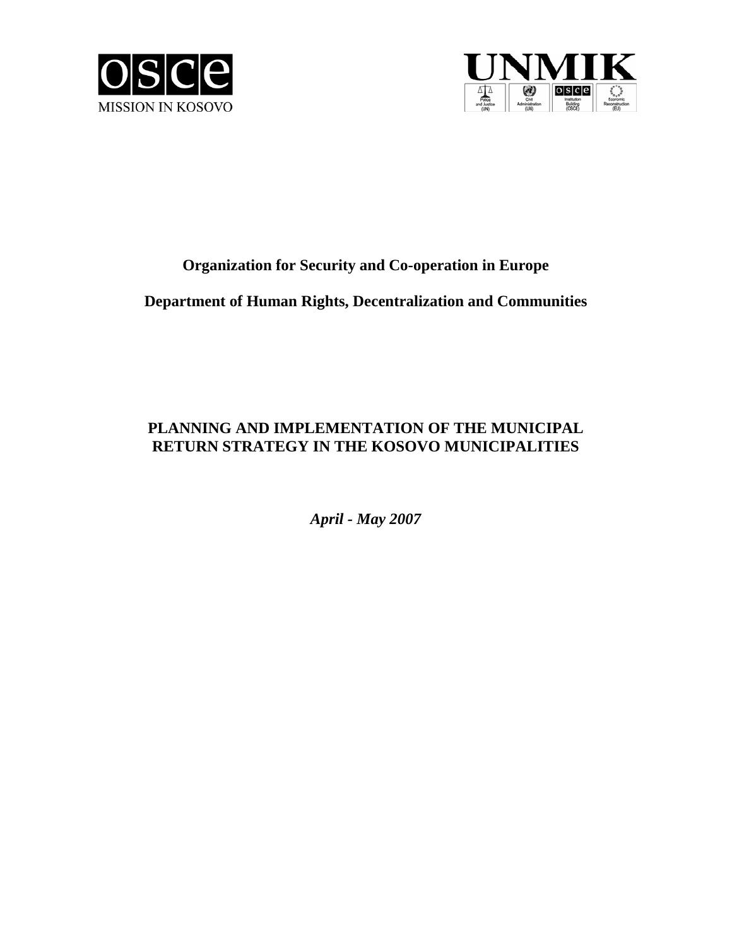



# **Organization for Security and Co-operation in Europe**

# **Department of Human Rights, Decentralization and Communities**

# **PLANNING AND IMPLEMENTATION OF THE MUNICIPAL RETURN STRATEGY IN THE KOSOVO MUNICIPALITIES**

*April - May 2007*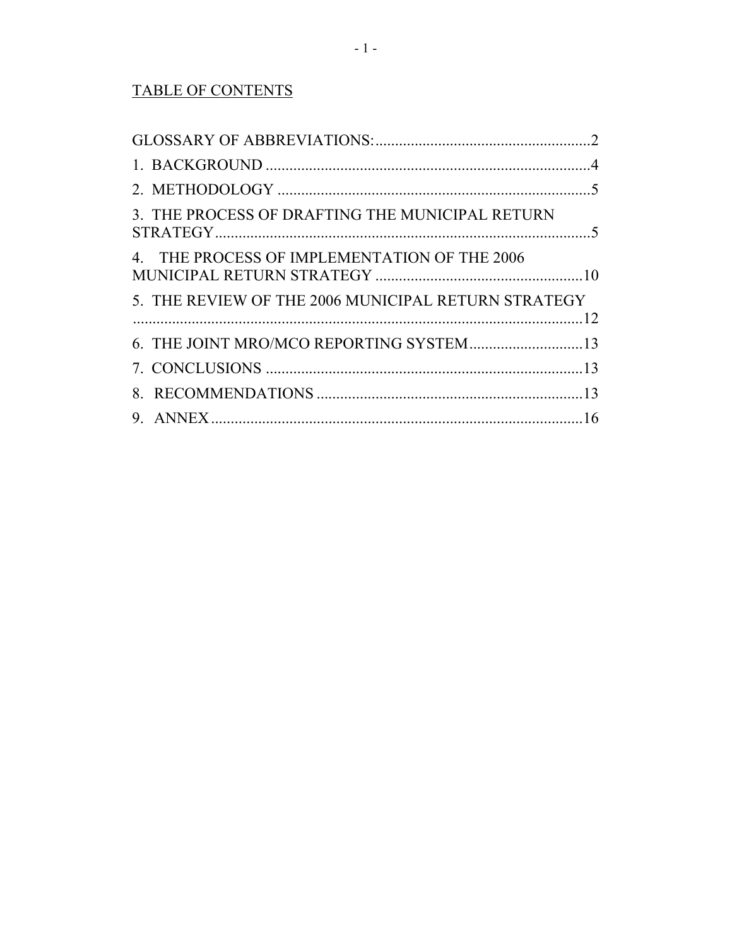# **TABLE OF CONTENTS**

| 3. THE PROCESS OF DRAFTING THE MUNICIPAL RETURN     |  |
|-----------------------------------------------------|--|
| 4. THE PROCESS OF IMPLEMENTATION OF THE 2006        |  |
| 5. THE REVIEW OF THE 2006 MUNICIPAL RETURN STRATEGY |  |
| 6. THE JOINT MRO/MCO REPORTING SYSTEM13             |  |
|                                                     |  |
|                                                     |  |
|                                                     |  |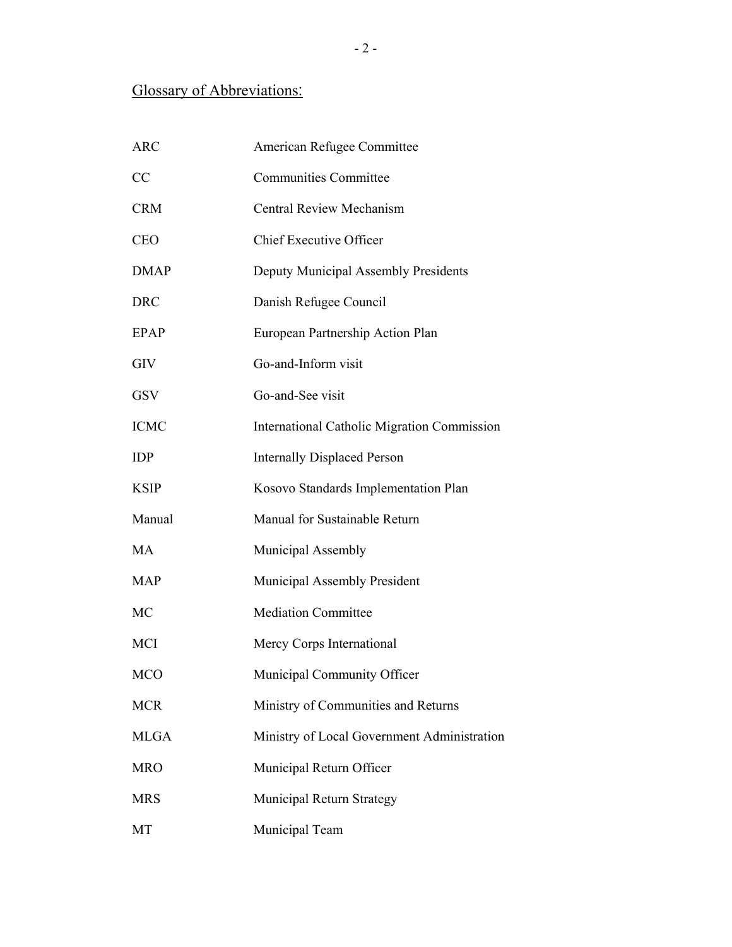# Glossary of Abbreviations:

| <b>ARC</b>  | American Refugee Committee                         |
|-------------|----------------------------------------------------|
| CC          | <b>Communities Committee</b>                       |
| <b>CRM</b>  | <b>Central Review Mechanism</b>                    |
| <b>CEO</b>  | <b>Chief Executive Officer</b>                     |
| <b>DMAP</b> | Deputy Municipal Assembly Presidents               |
| <b>DRC</b>  | Danish Refugee Council                             |
| <b>EPAP</b> | European Partnership Action Plan                   |
| <b>GIV</b>  | Go-and-Inform visit                                |
| <b>GSV</b>  | Go-and-See visit                                   |
| <b>ICMC</b> | <b>International Catholic Migration Commission</b> |
| <b>IDP</b>  | <b>Internally Displaced Person</b>                 |
| <b>KSIP</b> | Kosovo Standards Implementation Plan               |
| Manual      | Manual for Sustainable Return                      |
| MA          | Municipal Assembly                                 |
| <b>MAP</b>  | Municipal Assembly President                       |
| MC          | <b>Mediation Committee</b>                         |
| MCI         | Mercy Corps International                          |
| MCO         | Municipal Community Officer                        |
| <b>MCR</b>  | Ministry of Communities and Returns                |
| <b>MLGA</b> | Ministry of Local Government Administration        |
| <b>MRO</b>  | Municipal Return Officer                           |
| <b>MRS</b>  | Municipal Return Strategy                          |
| MT          | Municipal Team                                     |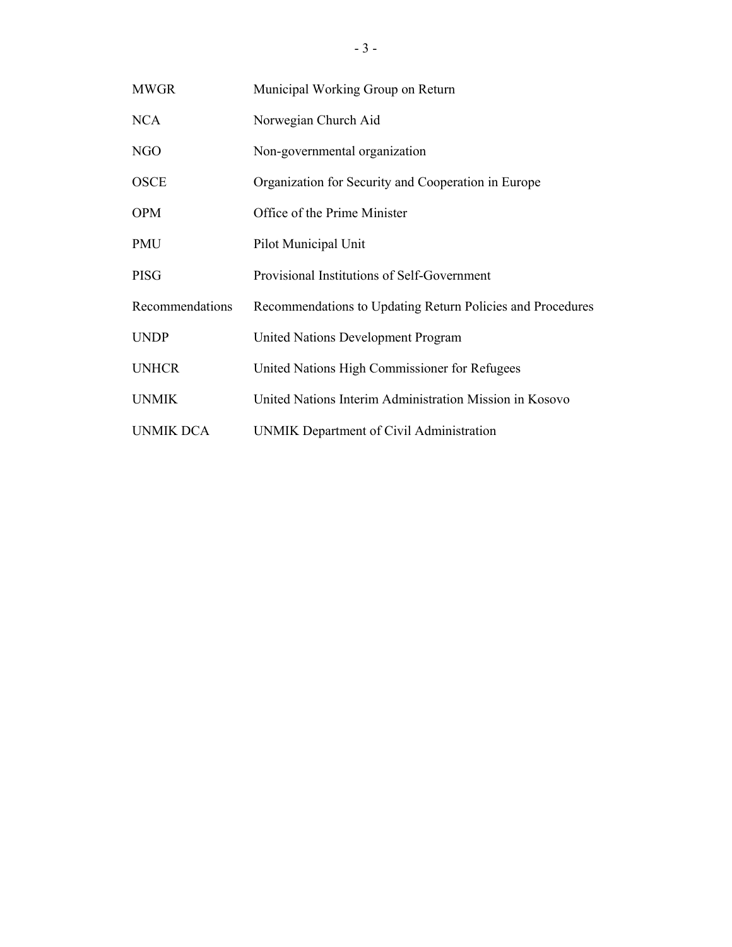| <b>MWGR</b>      | Municipal Working Group on Return                          |
|------------------|------------------------------------------------------------|
| <b>NCA</b>       | Norwegian Church Aid                                       |
| NGO              | Non-governmental organization                              |
| <b>OSCE</b>      | Organization for Security and Cooperation in Europe        |
| <b>OPM</b>       | Office of the Prime Minister                               |
| <b>PMU</b>       | Pilot Municipal Unit                                       |
| <b>PISG</b>      | Provisional Institutions of Self-Government                |
| Recommendations  | Recommendations to Updating Return Policies and Procedures |
| <b>UNDP</b>      | United Nations Development Program                         |
| <b>UNHCR</b>     | United Nations High Commissioner for Refugees              |
| <b>UNMIK</b>     | United Nations Interim Administration Mission in Kosovo    |
| <b>UNMIK DCA</b> | UNMIK Department of Civil Administration                   |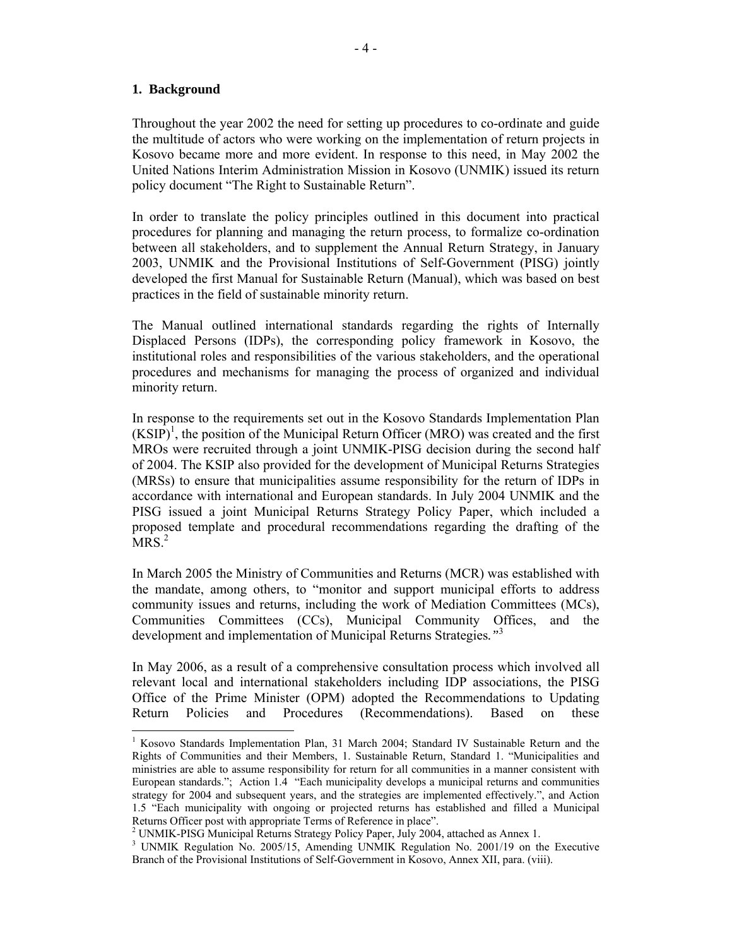#### **1. Background**

 $\overline{a}$ 

Throughout the year 2002 the need for setting up procedures to co-ordinate and guide the multitude of actors who were working on the implementation of return projects in Kosovo became more and more evident. In response to this need, in May 2002 the United Nations Interim Administration Mission in Kosovo (UNMIK) issued its return policy document "The Right to Sustainable Return".

In order to translate the policy principles outlined in this document into practical procedures for planning and managing the return process, to formalize co-ordination between all stakeholders, and to supplement the Annual Return Strategy, in January 2003, UNMIK and the Provisional Institutions of Self-Government (PISG) jointly developed the first Manual for Sustainable Return (Manual), which was based on best practices in the field of sustainable minority return.

The Manual outlined international standards regarding the rights of Internally Displaced Persons (IDPs), the corresponding policy framework in Kosovo, the institutional roles and responsibilities of the various stakeholders, and the operational procedures and mechanisms for managing the process of organized and individual minority return.

In response to the requirements set out in the Kosovo Standards Implementation Plan  $(KSIP)^1$ , the position of the Municipal Return Officer (MRO) was created and the first MROs were recruited through a joint UNMIK-PISG decision during the second half of 2004. The KSIP also provided for the development of Municipal Returns Strategies (MRSs) to ensure that municipalities assume responsibility for the return of IDPs in accordance with international and European standards. In July 2004 UNMIK and the PISG issued a joint Municipal Returns Strategy Policy Paper, which included a proposed template and procedural recommendations regarding the drafting of the MRS $<sup>2</sup>$ </sup>

In March 2005 the Ministry of Communities and Returns (MCR) was established with the mandate, among others, to "monitor and support municipal efforts to address community issues and returns, including the work of Mediation Committees (MCs), Communities Committees (CCs), Municipal Community Offices, and the development and implementation of Municipal Returns Strategies*."*<sup>3</sup>

In May 2006, as a result of a comprehensive consultation process which involved all relevant local and international stakeholders including IDP associations, the PISG Office of the Prime Minister (OPM) adopted the Recommendations to Updating Return Policies and Procedures (Recommendations). Based on these

<sup>&</sup>lt;sup>1</sup> Kosovo Standards Implementation Plan, 31 March 2004; Standard IV Sustainable Return and the Rights of Communities and their Members, 1. Sustainable Return, Standard 1. "Municipalities and ministries are able to assume responsibility for return for all communities in a manner consistent with European standards."; Action 1.4 "Each municipality develops a municipal returns and communities strategy for 2004 and subsequent years, and the strategies are implemented effectively.", and Action 1.5 "Each municipality with ongoing or projected returns has established and filled a Municipal Returns Officer post with appropriate Terms of Reference in place".

<sup>&</sup>lt;sup>2</sup> UNMIK-PISG Municipal Returns Strategy Policy Paper, July 2004, attached as Annex 1.

<sup>&</sup>lt;sup>3</sup> UNMIK Regulation No. 2005/15, Amending UNMIK Regulation No. 2001/19 on the Executive Branch of the Provisional Institutions of Self-Government in Kosovo, Annex XII, para. (viii).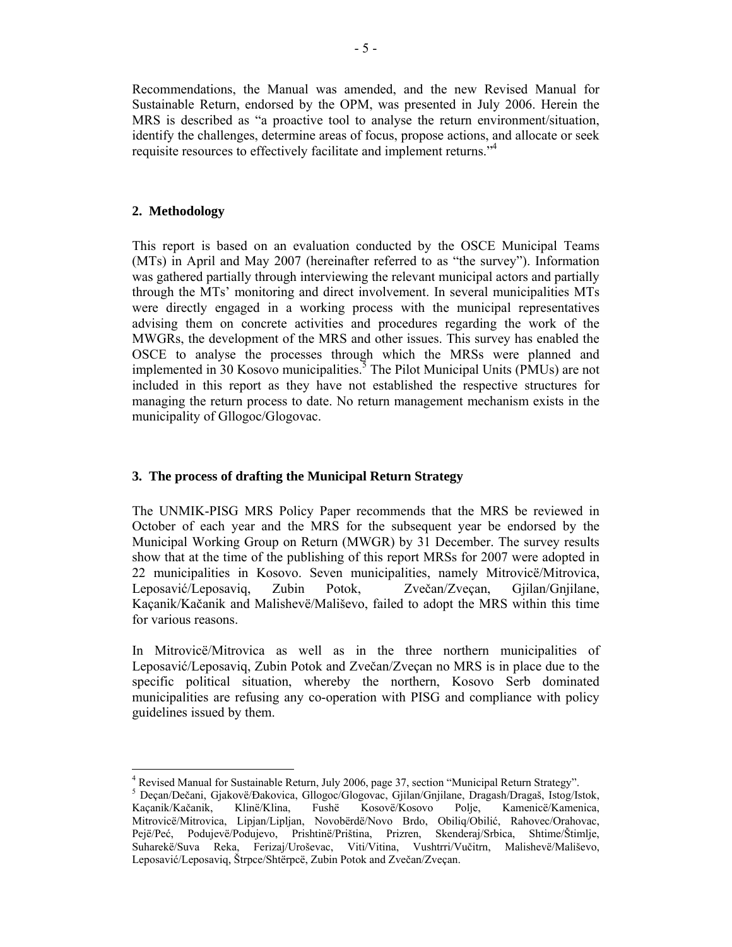Recommendations, the Manual was amended, and the new Revised Manual for Sustainable Return, endorsed by the OPM, was presented in July 2006. Herein the MRS is described as "a proactive tool to analyse the return environment/situation, identify the challenges, determine areas of focus, propose actions, and allocate or seek requisite resources to effectively facilitate and implement returns."4

### **2. Methodology**

This report is based on an evaluation conducted by the OSCE Municipal Teams (MTs) in April and May 2007 (hereinafter referred to as "the survey"). Information was gathered partially through interviewing the relevant municipal actors and partially through the MTs' monitoring and direct involvement. In several municipalities MTs were directly engaged in a working process with the municipal representatives advising them on concrete activities and procedures regarding the work of the MWGRs, the development of the MRS and other issues. This survey has enabled the OSCE to analyse the processes through which the MRSs were planned and implemented in 30 Kosovo municipalities.<sup>5</sup> The Pilot Municipal Units (PMUs) are not included in this report as they have not established the respective structures for managing the return process to date. No return management mechanism exists in the municipality of Gllogoc/Glogovac.

## **3. The process of drafting the Municipal Return Strategy**

The UNMIK-PISG MRS Policy Paper recommends that the MRS be reviewed in October of each year and the MRS for the subsequent year be endorsed by the Municipal Working Group on Return (MWGR) by 31 December. The survey results show that at the time of the publishing of this report MRSs for 2007 were adopted in 22 municipalities in Kosovo. Seven municipalities, namely Mitrovicë/Mitrovica, Leposavić/Leposaviq, Zubin Potok, Zvečan/Zveçan, Gjilan/Gnjilane, Kaçanik/Kačanik and Malishevë/Mališevo, failed to adopt the MRS within this time for various reasons.

In Mitrovicë/Mitrovica as well as in the three northern municipalities of Leposavić/Leposaviq, Zubin Potok and Zvečan/Zveçan no MRS is in place due to the specific political situation, whereby the northern, Kosovo Serb dominated municipalities are refusing any co-operation with PISG and compliance with policy guidelines issued by them.

 <sup>4</sup> Revised Manual for Sustainable Return, July 2006, page 37, section "Municipal Return Strategy".

<sup>5</sup> Deçan/Dečani, Gjakovë/Đakovica, Gllogoc/Glogovac, Gjilan/Gnjilane, Dragash/Dragaš, Istog/Istok, Kaçanik/Kačanik, Klinë/Klina, Fushë Kosovë/Kosovo Polje, Kamenicë/Kamenica, Mitrovicë/Mitrovica, Lipjan/Lipljan, Novobërdë/Novo Brdo, Obiliq/Obilić, Rahovec/Orahovac, Pejë/Peć, Podujevë/Podujevo, Prishtinë/Priština, Prizren, Skenderaj/Srbica, Shtime/Štimlje, Suharekë/Suva Reka, Ferizaj/Uroševac, Viti/Vitina, Vushtrri/Vučitrn, Malishevë/Mališevo, Leposavić/Leposaviq, Štrpce/Shtërpcë, Zubin Potok and Zvečan/Zveçan.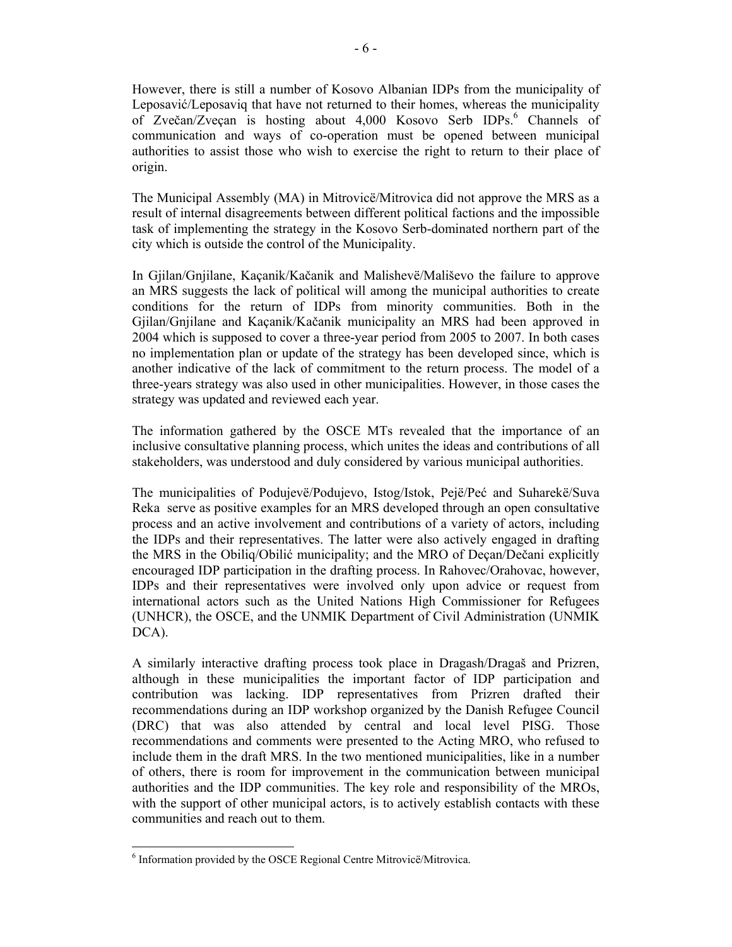However, there is still a number of Kosovo Albanian IDPs from the municipality of Leposavić/Leposaviq that have not returned to their homes, whereas the municipality of Zvečan/Zveçan is hosting about 4,000 Kosovo Serb IDPs.<sup>6</sup> Channels of communication and ways of co-operation must be opened between municipal authorities to assist those who wish to exercise the right to return to their place of origin.

The Municipal Assembly (MA) in Mitrovicë/Mitrovica did not approve the MRS as a result of internal disagreements between different political factions and the impossible task of implementing the strategy in the Kosovo Serb-dominated northern part of the city which is outside the control of the Municipality.

In Gjilan/Gnjilane, Kaçanik/Kačanik and Malishevë/Mališevo the failure to approve an MRS suggests the lack of political will among the municipal authorities to create conditions for the return of IDPs from minority communities. Both in the Gjilan/Gnjilane and Kaçanik/Kačanik municipality an MRS had been approved in 2004 which is supposed to cover a three-year period from 2005 to 2007. In both cases no implementation plan or update of the strategy has been developed since, which is another indicative of the lack of commitment to the return process. The model of a three-years strategy was also used in other municipalities. However, in those cases the strategy was updated and reviewed each year.

The information gathered by the OSCE MTs revealed that the importance of an inclusive consultative planning process, which unites the ideas and contributions of all stakeholders, was understood and duly considered by various municipal authorities.

The municipalities of Podujevë/Podujevo, Istog/Istok, Pejë/Peć and Suharekë/Suva Reka serve as positive examples for an MRS developed through an open consultative process and an active involvement and contributions of a variety of actors, including the IDPs and their representatives. The latter were also actively engaged in drafting the MRS in the Obiliq/Obilić municipality; and the MRO of Deçan/Dečani explicitly encouraged IDP participation in the drafting process. In Rahovec/Orahovac, however, IDPs and their representatives were involved only upon advice or request from international actors such as the United Nations High Commissioner for Refugees (UNHCR), the OSCE, and the UNMIK Department of Civil Administration (UNMIK DCA).

A similarly interactive drafting process took place in Dragash/Dragaš and Prizren, although in these municipalities the important factor of IDP participation and contribution was lacking. IDP representatives from Prizren drafted their recommendations during an IDP workshop organized by the Danish Refugee Council (DRC) that was also attended by central and local level PISG. Those recommendations and comments were presented to the Acting MRO, who refused to include them in the draft MRS. In the two mentioned municipalities, like in a number of others, there is room for improvement in the communication between municipal authorities and the IDP communities. The key role and responsibility of the MROs, with the support of other municipal actors, is to actively establish contacts with these communities and reach out to them.

 $\overline{a}$ 

<sup>&</sup>lt;sup>6</sup> Information provided by the OSCE Regional Centre Mitrovicë/Mitrovica.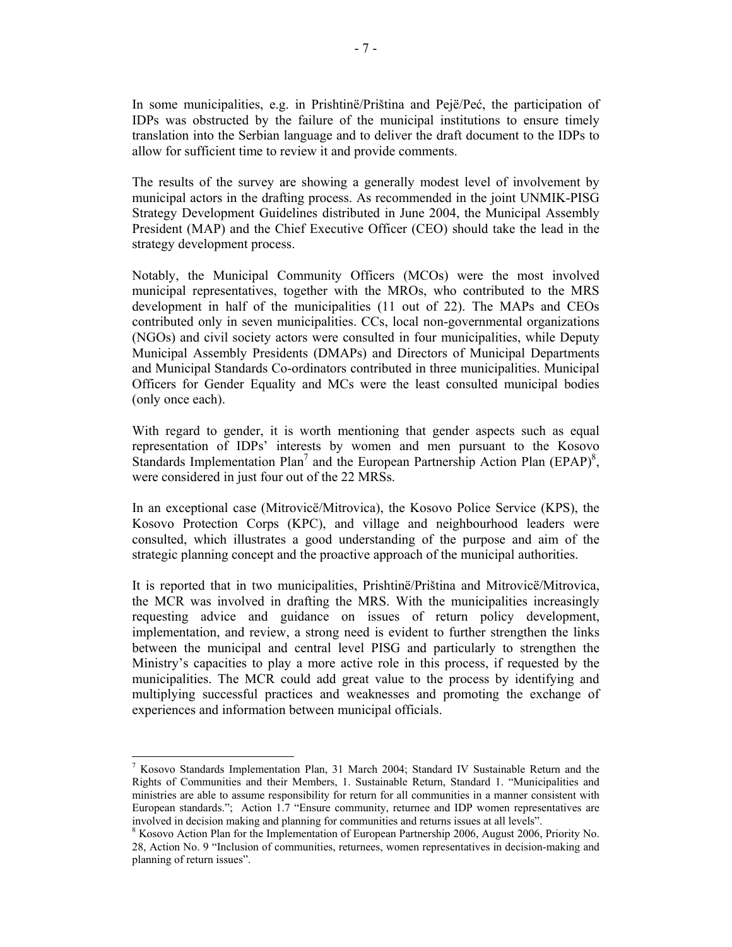In some municipalities, e.g. in Prishtinë/Priština and Pejë/Peć, the participation of IDPs was obstructed by the failure of the municipal institutions to ensure timely translation into the Serbian language and to deliver the draft document to the IDPs to allow for sufficient time to review it and provide comments.

 The results of the survey are showing a generally modest level of involvement by municipal actors in the drafting process. As recommended in the joint UNMIK-PISG Strategy Development Guidelines distributed in June 2004, the Municipal Assembly President (MAP) and the Chief Executive Officer (CEO) should take the lead in the strategy development process.

Notably, the Municipal Community Officers (MCOs) were the most involved municipal representatives, together with the MROs, who contributed to the MRS development in half of the municipalities (11 out of 22). The MAPs and CEOs contributed only in seven municipalities. CCs, local non-governmental organizations (NGOs) and civil society actors were consulted in four municipalities, while Deputy Municipal Assembly Presidents (DMAPs) and Directors of Municipal Departments and Municipal Standards Co-ordinators contributed in three municipalities. Municipal Officers for Gender Equality and MCs were the least consulted municipal bodies (only once each).

With regard to gender, it is worth mentioning that gender aspects such as equal representation of IDPs' interests by women and men pursuant to the Kosovo Standards Implementation Plan<sup>7</sup> and the European Partnership Action Plan (EPAP)<sup>8</sup>, were considered in just four out of the 22 MRSs.

In an exceptional case (Mitrovicë/Mitrovica), the Kosovo Police Service (KPS), the Kosovo Protection Corps (KPC), and village and neighbourhood leaders were consulted, which illustrates a good understanding of the purpose and aim of the strategic planning concept and the proactive approach of the municipal authorities.

It is reported that in two municipalities, Prishtinë/Priština and Mitrovicë/Mitrovica, the MCR was involved in drafting the MRS. With the municipalities increasingly requesting advice and guidance on issues of return policy development, implementation, and review, a strong need is evident to further strengthen the links between the municipal and central level PISG and particularly to strengthen the Ministry's capacities to play a more active role in this process, if requested by the municipalities. The MCR could add great value to the process by identifying and multiplying successful practices and weaknesses and promoting the exchange of experiences and information between municipal officials.

<sup>7</sup> Kosovo Standards Implementation Plan, 31 March 2004; Standard IV Sustainable Return and the Rights of Communities and their Members, 1. Sustainable Return, Standard 1. "Municipalities and ministries are able to assume responsibility for return for all communities in a manner consistent with European standards."; Action 1.7 "Ensure community, returnee and IDP women representatives are involved in decision making and planning for communities and returns issues at all levels".

<sup>&</sup>lt;sup>8</sup> Kosovo Action Plan for the Implementation of European Partnership 2006, August 2006, Priority No. 28, Action No. 9 "Inclusion of communities, returnees, women representatives in decision-making and planning of return issues".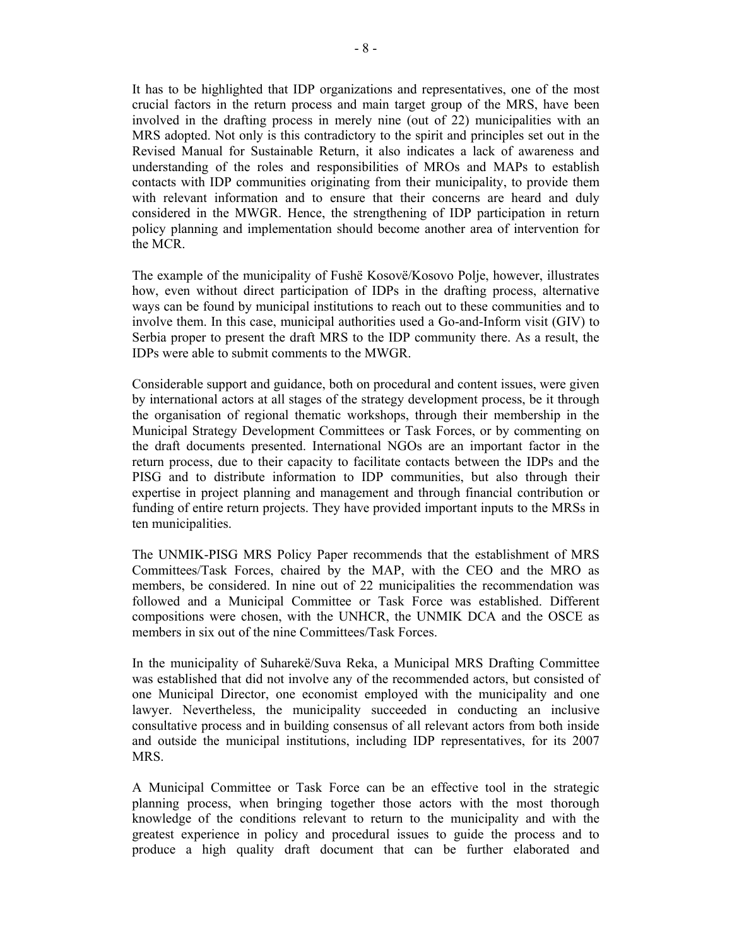It has to be highlighted that IDP organizations and representatives, one of the most crucial factors in the return process and main target group of the MRS, have been involved in the drafting process in merely nine (out of 22) municipalities with an MRS adopted. Not only is this contradictory to the spirit and principles set out in the Revised Manual for Sustainable Return, it also indicates a lack of awareness and understanding of the roles and responsibilities of MROs and MAPs to establish contacts with IDP communities originating from their municipality, to provide them with relevant information and to ensure that their concerns are heard and duly considered in the MWGR. Hence, the strengthening of IDP participation in return policy planning and implementation should become another area of intervention for the MCR.

The example of the municipality of Fushë Kosovë/Kosovo Polje, however, illustrates how, even without direct participation of IDPs in the drafting process, alternative ways can be found by municipal institutions to reach out to these communities and to involve them. In this case, municipal authorities used a Go-and-Inform visit (GIV) to Serbia proper to present the draft MRS to the IDP community there. As a result, the IDPs were able to submit comments to the MWGR.

Considerable support and guidance, both on procedural and content issues, were given by international actors at all stages of the strategy development process, be it through the organisation of regional thematic workshops, through their membership in the Municipal Strategy Development Committees or Task Forces, or by commenting on the draft documents presented. International NGOs are an important factor in the return process, due to their capacity to facilitate contacts between the IDPs and the PISG and to distribute information to IDP communities, but also through their expertise in project planning and management and through financial contribution or funding of entire return projects. They have provided important inputs to the MRSs in ten municipalities.

The UNMIK-PISG MRS Policy Paper recommends that the establishment of MRS Committees/Task Forces, chaired by the MAP, with the CEO and the MRO as members, be considered. In nine out of 22 municipalities the recommendation was followed and a Municipal Committee or Task Force was established. Different compositions were chosen, with the UNHCR, the UNMIK DCA and the OSCE as members in six out of the nine Committees/Task Forces.

In the municipality of Suharekë/Suva Reka, a Municipal MRS Drafting Committee was established that did not involve any of the recommended actors, but consisted of one Municipal Director, one economist employed with the municipality and one lawyer. Nevertheless, the municipality succeeded in conducting an inclusive consultative process and in building consensus of all relevant actors from both inside and outside the municipal institutions, including IDP representatives, for its 2007 MRS.

A Municipal Committee or Task Force can be an effective tool in the strategic planning process, when bringing together those actors with the most thorough knowledge of the conditions relevant to return to the municipality and with the greatest experience in policy and procedural issues to guide the process and to produce a high quality draft document that can be further elaborated and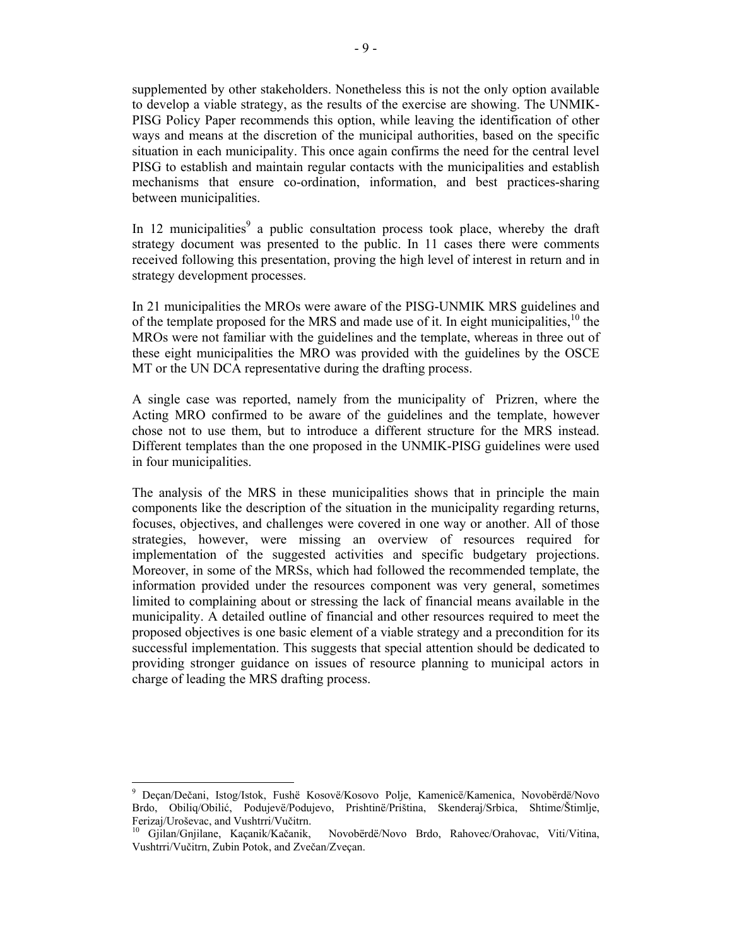supplemented by other stakeholders. Nonetheless this is not the only option available to develop a viable strategy, as the results of the exercise are showing. The UNMIK-PISG Policy Paper recommends this option, while leaving the identification of other ways and means at the discretion of the municipal authorities, based on the specific situation in each municipality. This once again confirms the need for the central level PISG to establish and maintain regular contacts with the municipalities and establish mechanisms that ensure co-ordination, information, and best practices-sharing between municipalities.

In 12 municipalities<sup>9</sup> a public consultation process took place, whereby the draft strategy document was presented to the public. In 11 cases there were comments received following this presentation, proving the high level of interest in return and in strategy development processes.

In 21 municipalities the MROs were aware of the PISG-UNMIK MRS guidelines and of the template proposed for the MRS and made use of it. In eight municipalities,  $10$  the MROs were not familiar with the guidelines and the template, whereas in three out of these eight municipalities the MRO was provided with the guidelines by the OSCE MT or the UN DCA representative during the drafting process.

A single case was reported, namely from the municipality of Prizren, where the Acting MRO confirmed to be aware of the guidelines and the template, however chose not to use them, but to introduce a different structure for the MRS instead. Different templates than the one proposed in the UNMIK-PISG guidelines were used in four municipalities.

The analysis of the MRS in these municipalities shows that in principle the main components like the description of the situation in the municipality regarding returns, focuses, objectives, and challenges were covered in one way or another. All of those strategies, however, were missing an overview of resources required for implementation of the suggested activities and specific budgetary projections. Moreover, in some of the MRSs, which had followed the recommended template, the information provided under the resources component was very general, sometimes limited to complaining about or stressing the lack of financial means available in the municipality. A detailed outline of financial and other resources required to meet the proposed objectives is one basic element of a viable strategy and a precondition for its successful implementation. This suggests that special attention should be dedicated to providing stronger guidance on issues of resource planning to municipal actors in charge of leading the MRS drafting process.

 $\overline{a}$ 

<sup>9</sup> Deçan/Dečani, Istog/Istok, Fushë Kosovë/Kosovo Polje, Kamenicë/Kamenica, Novobërdë/Novo Brdo, Obiliq/Obilić, Podujevë/Podujevo, Prishtinë/Priština, Skenderaj/Srbica, Shtime/Štimlje, Ferizaj/Uroševac, and Vushtrri/Vučitrn.<br><sup>10</sup> Gjilan/Gnjilane, Kaçanik/Kačanik, Novobërdë/Novo Brdo, Rahovec/Orahovac, Viti/Vitina,

Vushtrri/Vučitrn, Zubin Potok, and Zvečan/Zveçan.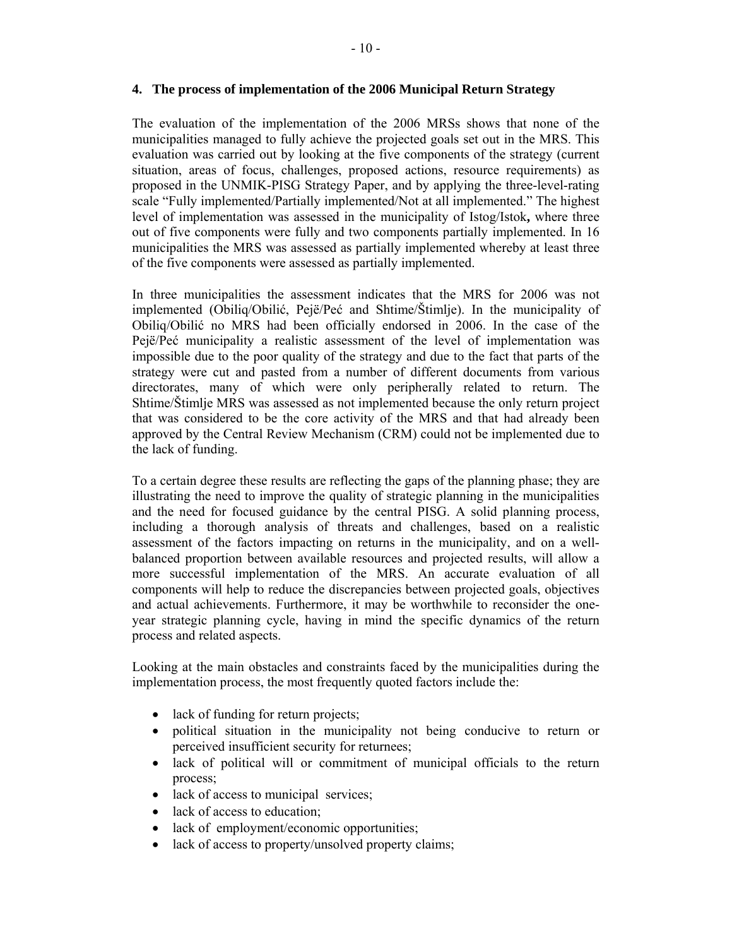#### **4. The process of implementation of the 2006 Municipal Return Strategy**

The evaluation of the implementation of the 2006 MRSs shows that none of the municipalities managed to fully achieve the projected goals set out in the MRS. This evaluation was carried out by looking at the five components of the strategy (current situation, areas of focus, challenges, proposed actions, resource requirements) as proposed in the UNMIK-PISG Strategy Paper, and by applying the three-level-rating scale "Fully implemented/Partially implemented/Not at all implemented." The highest level of implementation was assessed in the municipality of Istog/Istok**,** where three out of five components were fully and two components partially implemented. In 16 municipalities the MRS was assessed as partially implemented whereby at least three of the five components were assessed as partially implemented.

In three municipalities the assessment indicates that the MRS for 2006 was not implemented (Obiliq/Obilić, Pejë/Peć and Shtime/Štimlje). In the municipality of Obiliq/Obilić no MRS had been officially endorsed in 2006. In the case of the Pejë/Peć municipality a realistic assessment of the level of implementation was impossible due to the poor quality of the strategy and due to the fact that parts of the strategy were cut and pasted from a number of different documents from various directorates, many of which were only peripherally related to return. The Shtime/Štimlje MRS was assessed as not implemented because the only return project that was considered to be the core activity of the MRS and that had already been approved by the Central Review Mechanism (CRM) could not be implemented due to the lack of funding.

To a certain degree these results are reflecting the gaps of the planning phase; they are illustrating the need to improve the quality of strategic planning in the municipalities and the need for focused guidance by the central PISG. A solid planning process, including a thorough analysis of threats and challenges, based on a realistic assessment of the factors impacting on returns in the municipality, and on a wellbalanced proportion between available resources and projected results, will allow a more successful implementation of the MRS. An accurate evaluation of all components will help to reduce the discrepancies between projected goals, objectives and actual achievements. Furthermore, it may be worthwhile to reconsider the oneyear strategic planning cycle, having in mind the specific dynamics of the return process and related aspects.

Looking at the main obstacles and constraints faced by the municipalities during the implementation process, the most frequently quoted factors include the:

- lack of funding for return projects;
- political situation in the municipality not being conducive to return or perceived insufficient security for returnees;
- lack of political will or commitment of municipal officials to the return process;
- lack of access to municipal services;
- lack of access to education;
- lack of employment/economic opportunities;
- lack of access to property/unsolved property claims;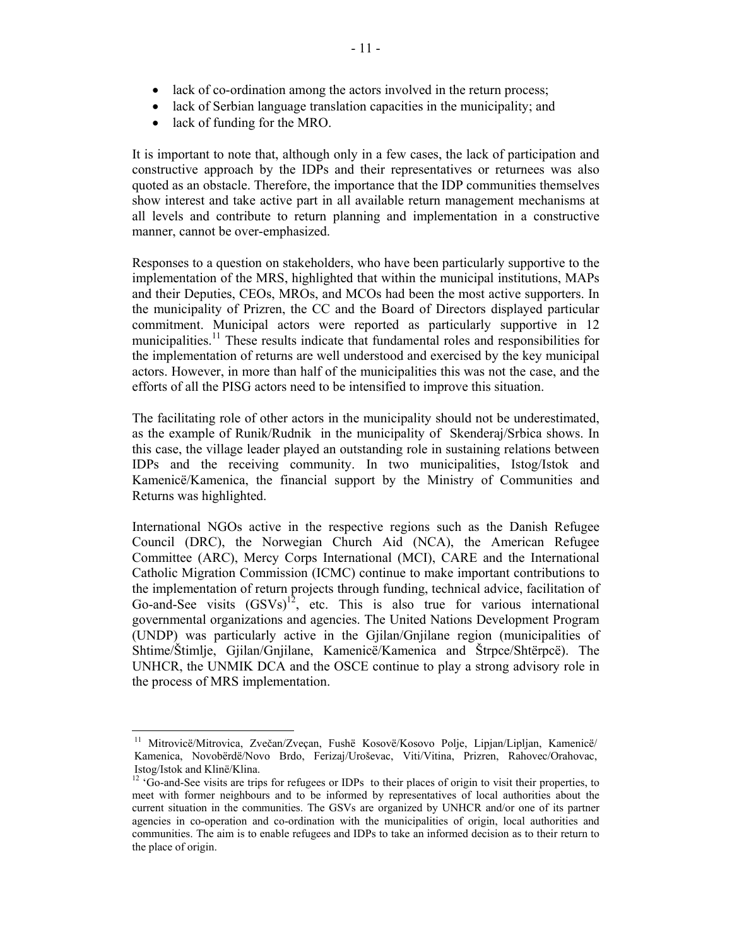- lack of co-ordination among the actors involved in the return process;
- lack of Serbian language translation capacities in the municipality; and
- lack of funding for the MRO.

 $\overline{a}$ 

It is important to note that, although only in a few cases, the lack of participation and constructive approach by the IDPs and their representatives or returnees was also quoted as an obstacle. Therefore, the importance that the IDP communities themselves show interest and take active part in all available return management mechanisms at all levels and contribute to return planning and implementation in a constructive manner, cannot be over-emphasized.

Responses to a question on stakeholders, who have been particularly supportive to the implementation of the MRS, highlighted that within the municipal institutions, MAPs and their Deputies, CEOs, MROs, and MCOs had been the most active supporters. In the municipality of Prizren, the CC and the Board of Directors displayed particular commitment. Municipal actors were reported as particularly supportive in 12 municipalities.<sup>11</sup> These results indicate that fundamental roles and responsibilities for the implementation of returns are well understood and exercised by the key municipal actors. However, in more than half of the municipalities this was not the case, and the efforts of all the PISG actors need to be intensified to improve this situation.

The facilitating role of other actors in the municipality should not be underestimated, as the example of Runik/Rudnik in the municipality of Skenderaj/Srbica shows. In this case, the village leader played an outstanding role in sustaining relations between IDPs and the receiving community. In two municipalities, Istog/Istok and Kamenicë/Kamenica, the financial support by the Ministry of Communities and Returns was highlighted.

International NGOs active in the respective regions such as the Danish Refugee Council (DRC), the Norwegian Church Aid (NCA), the American Refugee Committee (ARC), Mercy Corps International (MCI), CARE and the International Catholic Migration Commission (ICMC) continue to make important contributions to the implementation of return projects through funding, technical advice, facilitation of Go-and-See visits  $(GSVs)^{12}$ , etc. This is also true for various international governmental organizations and agencies. The United Nations Development Program (UNDP) was particularly active in the Gjilan/Gnjilane region (municipalities of Shtime/Štimlje, Gjilan/Gnjilane, Kamenicë/Kamenica and Štrpce/Shtërpcë). The UNHCR, the UNMIK DCA and the OSCE continue to play a strong advisory role in the process of MRS implementation.

<sup>&</sup>lt;sup>11</sup> Mitrovicë/Mitrovica, Zvečan/Zveçan, Fushë Kosovë/Kosovo Polje, Lipjan/Lipljan, Kamenicë/ Kamenica, Novobërdë/Novo Brdo, Ferizaj/Uroševac, Viti/Vitina, Prizren, Rahovec/Orahovac, Istog/Istok and Klinë/Klina.

<sup>&</sup>lt;sup>12</sup> 'Go-and-See visits are trips for refugees or IDPs to their places of origin to visit their properties, to meet with former neighbours and to be informed by representatives of local authorities about the current situation in the communities. The GSVs are organized by UNHCR and/or one of its partner agencies in co-operation and co-ordination with the municipalities of origin, local authorities and communities. The aim is to enable refugees and IDPs to take an informed decision as to their return to the place of origin.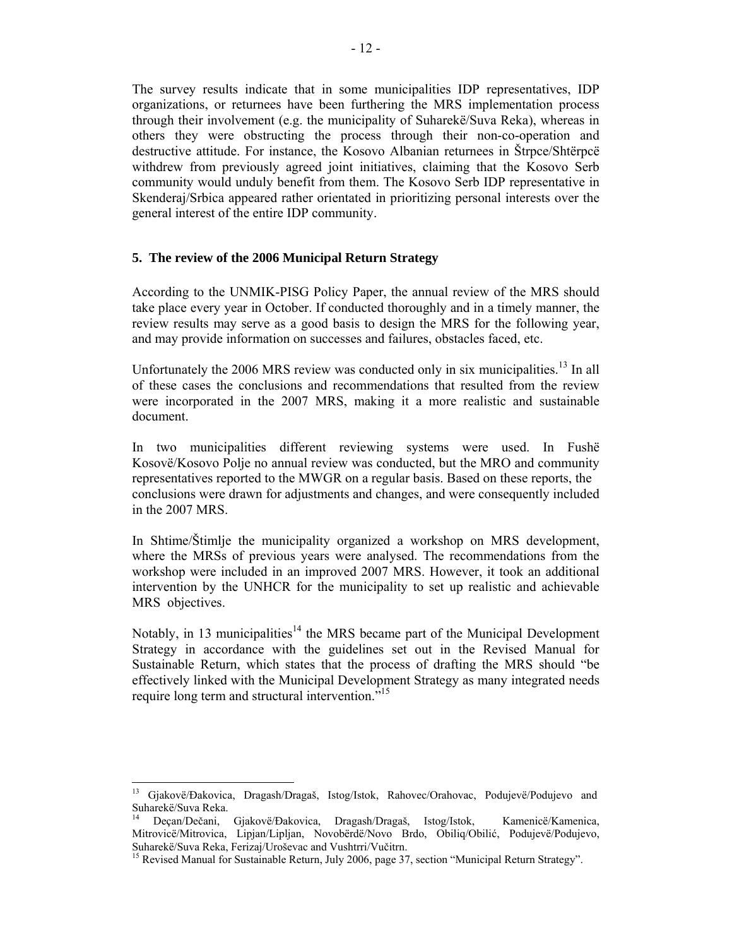The survey results indicate that in some municipalities IDP representatives, IDP organizations, or returnees have been furthering the MRS implementation process through their involvement (e.g. the municipality of Suharekë/Suva Reka), whereas in others they were obstructing the process through their non-co-operation and destructive attitude. For instance, the Kosovo Albanian returnees in Štrpce/Shtërpcë withdrew from previously agreed joint initiatives, claiming that the Kosovo Serb community would unduly benefit from them. The Kosovo Serb IDP representative in Skenderaj/Srbica appeared rather orientated in prioritizing personal interests over the general interest of the entire IDP community.

#### **5. The review of the 2006 Municipal Return Strategy**

According to the UNMIK-PISG Policy Paper, the annual review of the MRS should take place every year in October. If conducted thoroughly and in a timely manner, the review results may serve as a good basis to design the MRS for the following year, and may provide information on successes and failures, obstacles faced, etc.

Unfortunately the 2006 MRS review was conducted only in six municipalities.<sup>13</sup> In all of these cases the conclusions and recommendations that resulted from the review were incorporated in the 2007 MRS, making it a more realistic and sustainable document.

In two municipalities different reviewing systems were used. In Fushë Kosovë/Kosovo Polje no annual review was conducted, but the MRO and community representatives reported to the MWGR on a regular basis. Based on these reports, the conclusions were drawn for adjustments and changes, and were consequently included in the 2007 MRS.

In Shtime/Štimlje the municipality organized a workshop on MRS development, where the MRSs of previous years were analysed. The recommendations from the workshop were included in an improved 2007 MRS. However, it took an additional intervention by the UNHCR for the municipality to set up realistic and achievable MRS objectives.

Notably, in 13 municipalities<sup>14</sup> the MRS became part of the Municipal Development Strategy in accordance with the guidelines set out in the Revised Manual for Sustainable Return, which states that the process of drafting the MRS should "be effectively linked with the Municipal Development Strategy as many integrated needs require long term and structural intervention."<sup>15</sup>

 $13\,$ 13 Gjakovë/Đakovica, Dragash/Dragaš, Istog/Istok, Rahovec/Orahovac, Podujevë/Podujevo and Suharekë/Suva Reka.

<sup>14</sup> Deçan/Dečani, Gjakovë/Đakovica, Dragash/Dragaš, Istog/Istok, Kamenicë/Kamenica, Mitrovicë/Mitrovica, Lipjan/Lipljan, Novobërdë/Novo Brdo, Obiliq/Obilić, Podujevë/Podujevo, Suharekë/Suva Reka, Ferizaj/Uroševac and Vushtrri/Vučitrn.<br><sup>15</sup> Revised Manual for Sustainable Return, July 2006, page 37, section "Municipal Return Strategy".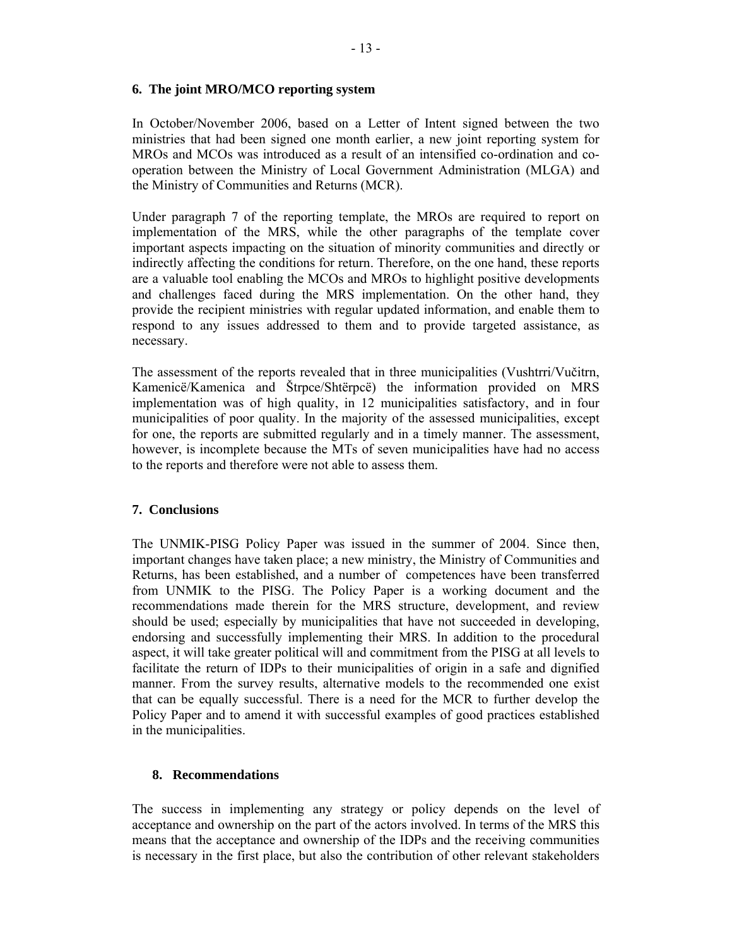#### **6. The joint MRO/MCO reporting system**

In October/November 2006, based on a Letter of Intent signed between the two ministries that had been signed one month earlier, a new joint reporting system for MROs and MCOs was introduced as a result of an intensified co-ordination and cooperation between the Ministry of Local Government Administration (MLGA) and the Ministry of Communities and Returns (MCR).

Under paragraph 7 of the reporting template, the MROs are required to report on implementation of the MRS, while the other paragraphs of the template cover important aspects impacting on the situation of minority communities and directly or indirectly affecting the conditions for return. Therefore, on the one hand, these reports are a valuable tool enabling the MCOs and MROs to highlight positive developments and challenges faced during the MRS implementation. On the other hand, they provide the recipient ministries with regular updated information, and enable them to respond to any issues addressed to them and to provide targeted assistance, as necessary.

The assessment of the reports revealed that in three municipalities (Vushtrri/Vučitrn, Kamenicë/Kamenica and Štrpce/Shtërpcë) the information provided on MRS implementation was of high quality, in 12 municipalities satisfactory, and in four municipalities of poor quality. In the majority of the assessed municipalities, except for one, the reports are submitted regularly and in a timely manner. The assessment, however, is incomplete because the MTs of seven municipalities have had no access to the reports and therefore were not able to assess them.

#### **7. Conclusions**

The UNMIK-PISG Policy Paper was issued in the summer of 2004. Since then, important changes have taken place; a new ministry, the Ministry of Communities and Returns, has been established, and a number of competences have been transferred from UNMIK to the PISG. The Policy Paper is a working document and the recommendations made therein for the MRS structure, development, and review should be used; especially by municipalities that have not succeeded in developing, endorsing and successfully implementing their MRS. In addition to the procedural aspect, it will take greater political will and commitment from the PISG at all levels to facilitate the return of IDPs to their municipalities of origin in a safe and dignified manner. From the survey results, alternative models to the recommended one exist that can be equally successful. There is a need for the MCR to further develop the Policy Paper and to amend it with successful examples of good practices established in the municipalities.

#### **8. Recommendations**

The success in implementing any strategy or policy depends on the level of acceptance and ownership on the part of the actors involved. In terms of the MRS this means that the acceptance and ownership of the IDPs and the receiving communities is necessary in the first place, but also the contribution of other relevant stakeholders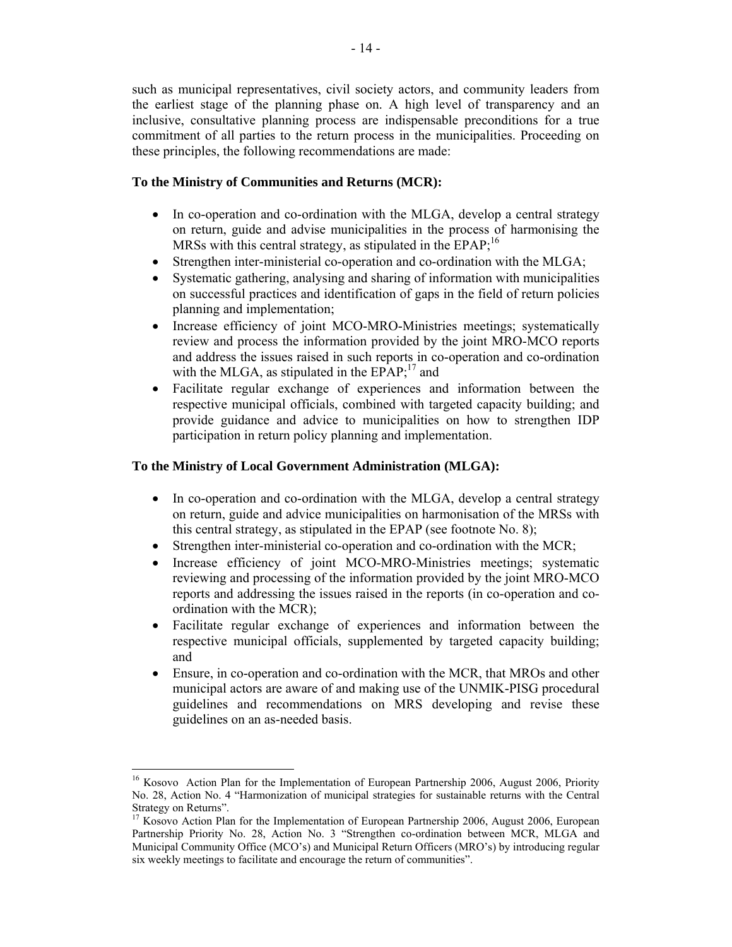such as municipal representatives, civil society actors, and community leaders from the earliest stage of the planning phase on. A high level of transparency and an inclusive, consultative planning process are indispensable preconditions for a true commitment of all parties to the return process in the municipalities. Proceeding on these principles, the following recommendations are made:

### **To the Ministry of Communities and Returns (MCR):**

- In co-operation and co-ordination with the MLGA, develop a central strategy on return, guide and advise municipalities in the process of harmonising the MRSs with this central strategy, as stipulated in the  $EPAR<sub>i</sub><sup>16</sup>$
- Strengthen inter-ministerial co-operation and co-ordination with the MLGA;
- Systematic gathering, analysing and sharing of information with municipalities on successful practices and identification of gaps in the field of return policies planning and implementation;
- Increase efficiency of joint MCO-MRO-Ministries meetings; systematically review and process the information provided by the joint MRO-MCO reports and address the issues raised in such reports in co-operation and co-ordination with the MLGA, as stipulated in the  $EPAR$ <sup>17</sup> and
- Facilitate regular exchange of experiences and information between the respective municipal officials, combined with targeted capacity building; and provide guidance and advice to municipalities on how to strengthen IDP participation in return policy planning and implementation.

## **To the Ministry of Local Government Administration (MLGA):**

- In co-operation and co-ordination with the MLGA, develop a central strategy on return, guide and advice municipalities on harmonisation of the MRSs with this central strategy, as stipulated in the EPAP (see footnote No. 8);
- Strengthen inter-ministerial co-operation and co-ordination with the MCR;
- Increase efficiency of joint MCO-MRO-Ministries meetings; systematic reviewing and processing of the information provided by the joint MRO-MCO reports and addressing the issues raised in the reports (in co-operation and coordination with the MCR);
- Facilitate regular exchange of experiences and information between the respective municipal officials, supplemented by targeted capacity building; and
- Ensure, in co-operation and co-ordination with the MCR, that MROs and other municipal actors are aware of and making use of the UNMIK-PISG procedural guidelines and recommendations on MRS developing and revise these guidelines on an as-needed basis.

<sup>&</sup>lt;sup>16</sup> Kosovo Action Plan for the Implementation of European Partnership 2006, August 2006, Priority No. 28, Action No. 4 "Harmonization of municipal strategies for sustainable returns with the Central Strategy on Returns".

<sup>&</sup>lt;sup>17</sup> Kosovo Action Plan for the Implementation of European Partnership 2006, August 2006, European Partnership Priority No. 28, Action No. 3 "Strengthen co-ordination between MCR, MLGA and Municipal Community Office (MCO's) and Municipal Return Officers (MRO's) by introducing regular six weekly meetings to facilitate and encourage the return of communities".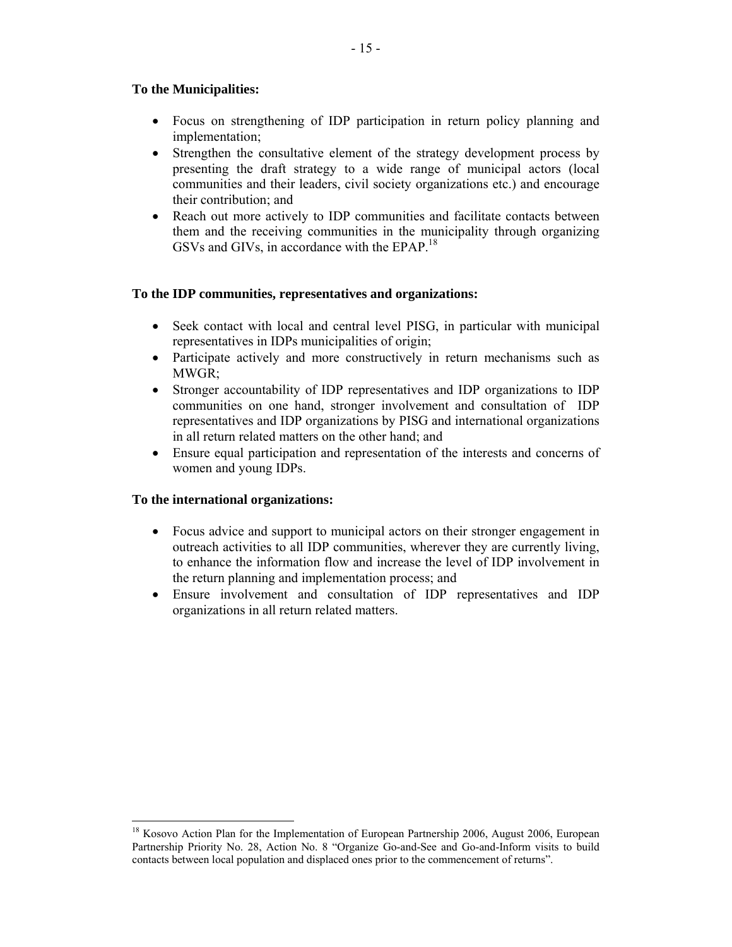### **To the Municipalities:**

- Focus on strengthening of IDP participation in return policy planning and implementation;
- Strengthen the consultative element of the strategy development process by presenting the draft strategy to a wide range of municipal actors (local communities and their leaders, civil society organizations etc.) and encourage their contribution; and
- Reach out more actively to IDP communities and facilitate contacts between them and the receiving communities in the municipality through organizing GSVs and GIVs, in accordance with the EPAP.<sup>18</sup>

#### **To the IDP communities, representatives and organizations:**

- Seek contact with local and central level PISG, in particular with municipal representatives in IDPs municipalities of origin;
- Participate actively and more constructively in return mechanisms such as MWGR;
- Stronger accountability of IDP representatives and IDP organizations to IDP communities on one hand, stronger involvement and consultation of IDP representatives and IDP organizations by PISG and international organizations in all return related matters on the other hand; and
- Ensure equal participation and representation of the interests and concerns of women and young IDPs.

#### **To the international organizations:**

- Focus advice and support to municipal actors on their stronger engagement in outreach activities to all IDP communities, wherever they are currently living, to enhance the information flow and increase the level of IDP involvement in the return planning and implementation process; and
- Ensure involvement and consultation of IDP representatives and IDP organizations in all return related matters.

 $\overline{a}$ <sup>18</sup> Kosovo Action Plan for the Implementation of European Partnership 2006, August 2006, European Partnership Priority No. 28, Action No. 8 "Organize Go-and-See and Go-and-Inform visits to build contacts between local population and displaced ones prior to the commencement of returns".